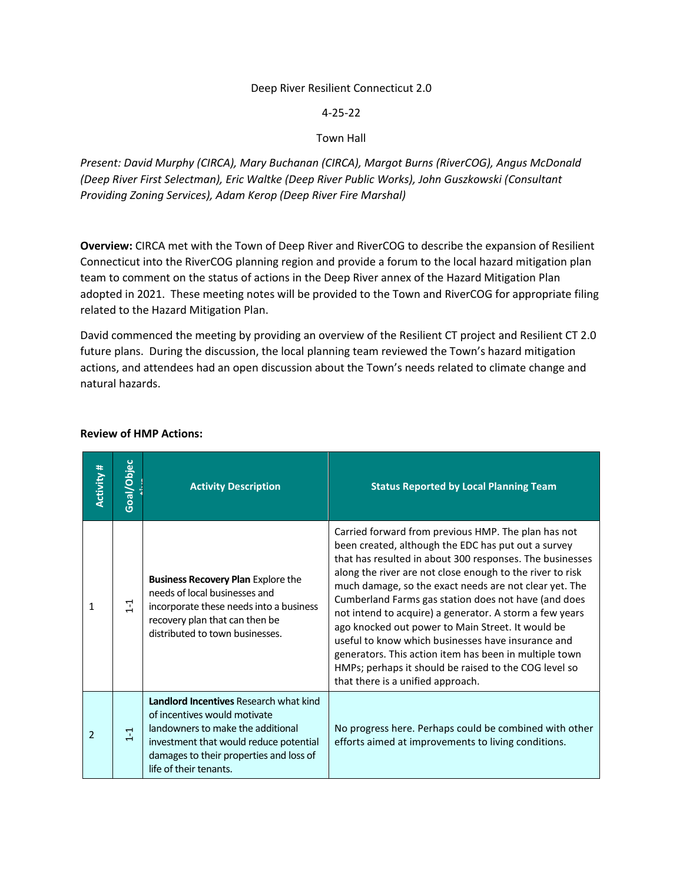#### Deep River Resilient Connecticut 2.0

4-25-22

### Town Hall

*Present: David Murphy (CIRCA), Mary Buchanan (CIRCA), Margot Burns (RiverCOG), Angus McDonald (Deep River First Selectman), Eric Waltke (Deep River Public Works), John Guszkowski (Consultant Providing Zoning Services), Adam Kerop (Deep River Fire Marshal)*

**Overview:** CIRCA met with the Town of Deep River and RiverCOG to describe the expansion of Resilient Connecticut into the RiverCOG planning region and provide a forum to the local hazard mitigation plan team to comment on the status of actions in the Deep River annex of the Hazard Mitigation Plan adopted in 2021. These meeting notes will be provided to the Town and RiverCOG for appropriate filing related to the Hazard Mitigation Plan.

David commenced the meeting by providing an overview of the Resilient CT project and Resilient CT 2.0 future plans. During the discussion, the local planning team reviewed the Town's hazard mitigation actions, and attendees had an open discussion about the Town's needs related to climate change and natural hazards.

| <b>Activity #</b> | Goal/Objec | <b>Activity Description</b>                                                                                                                                                                                                | <b>Status Reported by Local Planning Team</b>                                                                                                                                                                                                                                                                                                                                                                                                                                                                                                                                                                                                                                       |
|-------------------|------------|----------------------------------------------------------------------------------------------------------------------------------------------------------------------------------------------------------------------------|-------------------------------------------------------------------------------------------------------------------------------------------------------------------------------------------------------------------------------------------------------------------------------------------------------------------------------------------------------------------------------------------------------------------------------------------------------------------------------------------------------------------------------------------------------------------------------------------------------------------------------------------------------------------------------------|
| 1                 | $\Xi$      | <b>Business Recovery Plan Explore the</b><br>needs of local businesses and<br>incorporate these needs into a business<br>recovery plan that can then be<br>distributed to town businesses.                                 | Carried forward from previous HMP. The plan has not<br>been created, although the EDC has put out a survey<br>that has resulted in about 300 responses. The businesses<br>along the river are not close enough to the river to risk<br>much damage, so the exact needs are not clear yet. The<br>Cumberland Farms gas station does not have (and does<br>not intend to acquire) a generator. A storm a few years<br>ago knocked out power to Main Street. It would be<br>useful to know which businesses have insurance and<br>generators. This action item has been in multiple town<br>HMPs; perhaps it should be raised to the COG level so<br>that there is a unified approach. |
| $\overline{2}$    | $1 - 1$    | Landlord Incentives Research what kind<br>of incentives would motivate<br>landowners to make the additional<br>investment that would reduce potential<br>damages to their properties and loss of<br>life of their tenants. | No progress here. Perhaps could be combined with other<br>efforts aimed at improvements to living conditions.                                                                                                                                                                                                                                                                                                                                                                                                                                                                                                                                                                       |

#### **Review of HMP Actions:**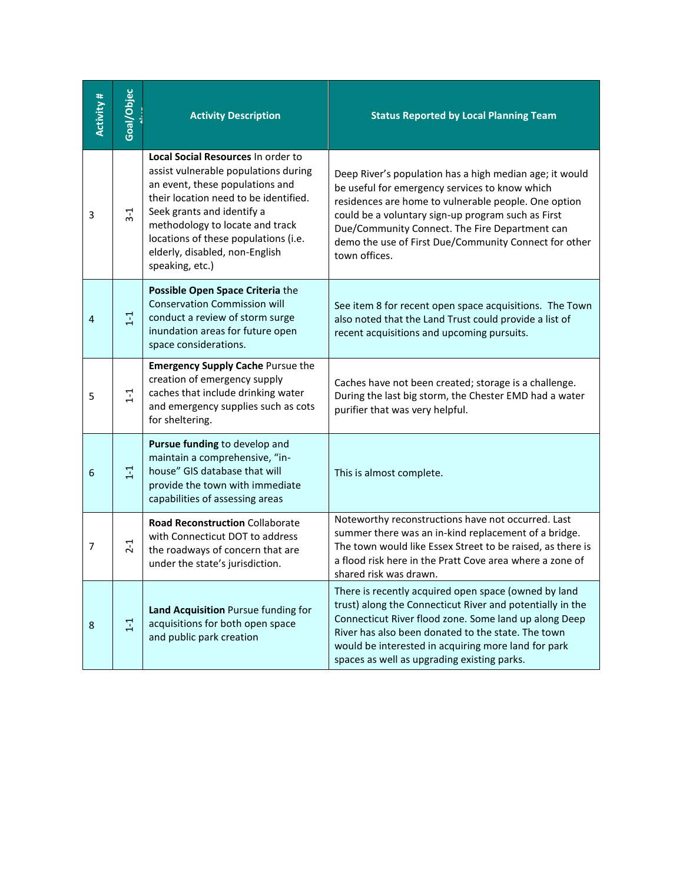| Activity # | <b>Goal/Objec</b> | <b>Activity Description</b>                                                                                                                                                                                                                                                                                          | <b>Status Reported by Local Planning Team</b>                                                                                                                                                                                                                                                                                                       |
|------------|-------------------|----------------------------------------------------------------------------------------------------------------------------------------------------------------------------------------------------------------------------------------------------------------------------------------------------------------------|-----------------------------------------------------------------------------------------------------------------------------------------------------------------------------------------------------------------------------------------------------------------------------------------------------------------------------------------------------|
| 3          | $3-1$             | Local Social Resources In order to<br>assist vulnerable populations during<br>an event, these populations and<br>their location need to be identified.<br>Seek grants and identify a<br>methodology to locate and track<br>locations of these populations (i.e.<br>elderly, disabled, non-English<br>speaking, etc.) | Deep River's population has a high median age; it would<br>be useful for emergency services to know which<br>residences are home to vulnerable people. One option<br>could be a voluntary sign-up program such as First<br>Due/Community Connect. The Fire Department can<br>demo the use of First Due/Community Connect for other<br>town offices. |
| 4          | $1 - 1$           | Possible Open Space Criteria the<br><b>Conservation Commission will</b><br>conduct a review of storm surge<br>inundation areas for future open<br>space considerations.                                                                                                                                              | See item 8 for recent open space acquisitions. The Town<br>also noted that the Land Trust could provide a list of<br>recent acquisitions and upcoming pursuits.                                                                                                                                                                                     |
| 5          | $1 -$             | <b>Emergency Supply Cache Pursue the</b><br>creation of emergency supply<br>caches that include drinking water<br>and emergency supplies such as cots<br>for sheltering.                                                                                                                                             | Caches have not been created; storage is a challenge.<br>During the last big storm, the Chester EMD had a water<br>purifier that was very helpful.                                                                                                                                                                                                  |
| 6          | $\mathbb{L}$      | Pursue funding to develop and<br>maintain a comprehensive, "in-<br>house" GIS database that will<br>provide the town with immediate<br>capabilities of assessing areas                                                                                                                                               | This is almost complete.                                                                                                                                                                                                                                                                                                                            |
| 7          | $2 - 1$           | <b>Road Reconstruction Collaborate</b><br>with Connecticut DOT to address<br>the roadways of concern that are<br>under the state's jurisdiction.                                                                                                                                                                     | Noteworthy reconstructions have not occurred. Last<br>summer there was an in-kind replacement of a bridge.<br>The town would like Essex Street to be raised, as there is<br>a flood risk here in the Pratt Cove area where a zone of<br>shared risk was drawn.                                                                                      |
| 8          | $\Xi$             | Land Acquisition Pursue funding for<br>acquisitions for both open space<br>and public park creation                                                                                                                                                                                                                  | There is recently acquired open space (owned by land<br>trust) along the Connecticut River and potentially in the<br>Connecticut River flood zone. Some land up along Deep<br>River has also been donated to the state. The town<br>would be interested in acquiring more land for park<br>spaces as well as upgrading existing parks.              |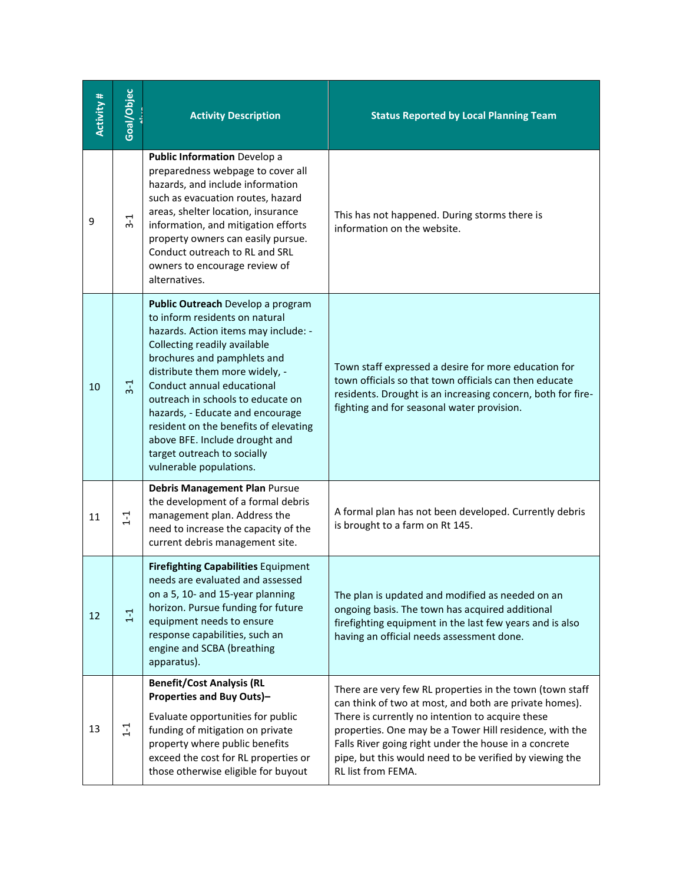| <b>Activity#</b> | Goal/Objec | <b>Activity Description</b>                                                                                                                                                                                                                                                                                                                                                                                                                              | <b>Status Reported by Local Planning Team</b>                                                                                                                                                                                                                                                                                                                               |
|------------------|------------|----------------------------------------------------------------------------------------------------------------------------------------------------------------------------------------------------------------------------------------------------------------------------------------------------------------------------------------------------------------------------------------------------------------------------------------------------------|-----------------------------------------------------------------------------------------------------------------------------------------------------------------------------------------------------------------------------------------------------------------------------------------------------------------------------------------------------------------------------|
| 9                | $3 - 1$    | <b>Public Information Develop a</b><br>preparedness webpage to cover all<br>hazards, and include information<br>such as evacuation routes, hazard<br>areas, shelter location, insurance<br>information, and mitigation efforts<br>property owners can easily pursue.<br>Conduct outreach to RL and SRL<br>owners to encourage review of<br>alternatives.                                                                                                 | This has not happened. During storms there is<br>information on the website.                                                                                                                                                                                                                                                                                                |
| 10               | $3-1$      | Public Outreach Develop a program<br>to inform residents on natural<br>hazards. Action items may include: -<br>Collecting readily available<br>brochures and pamphlets and<br>distribute them more widely, -<br>Conduct annual educational<br>outreach in schools to educate on<br>hazards, - Educate and encourage<br>resident on the benefits of elevating<br>above BFE. Include drought and<br>target outreach to socially<br>vulnerable populations. | Town staff expressed a desire for more education for<br>town officials so that town officials can then educate<br>residents. Drought is an increasing concern, both for fire-<br>fighting and for seasonal water provision.                                                                                                                                                 |
| 11               | $1 - 1$    | Debris Management Plan Pursue<br>the development of a formal debris<br>management plan. Address the<br>need to increase the capacity of the<br>current debris management site.                                                                                                                                                                                                                                                                           | A formal plan has not been developed. Currently debris<br>is brought to a farm on Rt 145.                                                                                                                                                                                                                                                                                   |
| 12               | $1 - 1$    | <b>Firefighting Capabilities Equipment</b><br>needs are evaluated and assessed<br>on a 5, 10- and 15-year planning<br>horizon. Pursue funding for future<br>equipment needs to ensure<br>response capabilities, such an<br>engine and SCBA (breathing<br>apparatus).                                                                                                                                                                                     | The plan is updated and modified as needed on an<br>ongoing basis. The town has acquired additional<br>firefighting equipment in the last few years and is also<br>having an official needs assessment done.                                                                                                                                                                |
| 13               | $1 - 1$    | <b>Benefit/Cost Analysis (RL</b><br><b>Properties and Buy Outs)-</b><br>Evaluate opportunities for public<br>funding of mitigation on private<br>property where public benefits<br>exceed the cost for RL properties or<br>those otherwise eligible for buyout                                                                                                                                                                                           | There are very few RL properties in the town (town staff<br>can think of two at most, and both are private homes).<br>There is currently no intention to acquire these<br>properties. One may be a Tower Hill residence, with the<br>Falls River going right under the house in a concrete<br>pipe, but this would need to be verified by viewing the<br>RL list from FEMA. |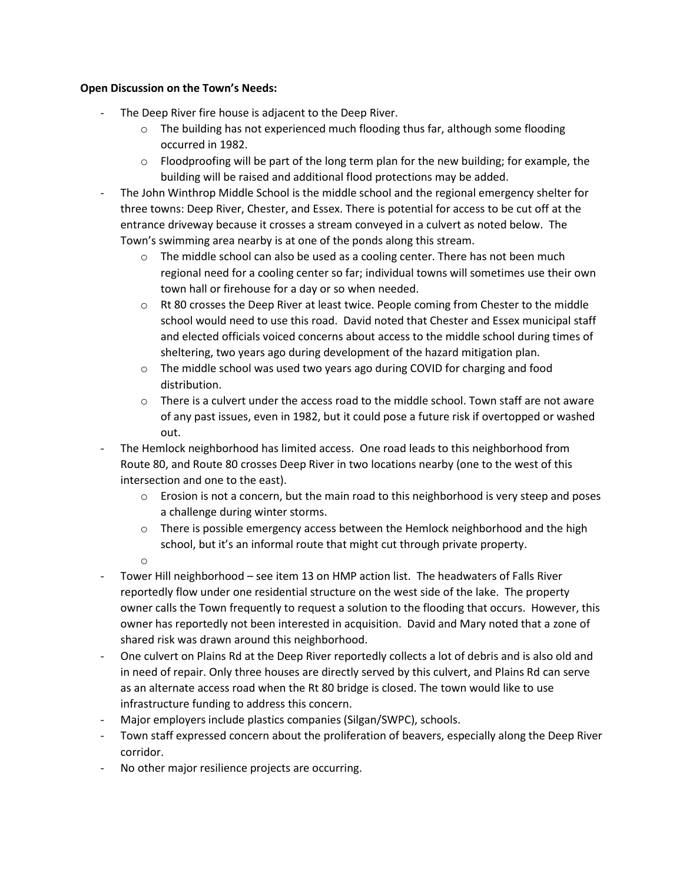## **Open Discussion on the Town's Needs:**

- The Deep River fire house is adjacent to the Deep River.
	- $\circ$  The building has not experienced much flooding thus far, although some flooding occurred in 1982.
	- $\circ$  Floodproofing will be part of the long term plan for the new building; for example, the building will be raised and additional flood protections may be added.
- The John Winthrop Middle School is the middle school and the regional emergency shelter for three towns: Deep River, Chester, and Essex. There is potential for access to be cut off at the entrance driveway because it crosses a stream conveyed in a culvert as noted below. The Town's swimming area nearby is at one of the ponds along this stream.
	- $\circ$  The middle school can also be used as a cooling center. There has not been much regional need for a cooling center so far; individual towns will sometimes use their own town hall or firehouse for a day or so when needed.
	- $\circ$  Rt 80 crosses the Deep River at least twice. People coming from Chester to the middle school would need to use this road. David noted that Chester and Essex municipal staff and elected officials voiced concerns about access to the middle school during times of sheltering, two years ago during development of the hazard mitigation plan.
	- $\circ$  The middle school was used two years ago during COVID for charging and food distribution.
	- $\circ$  There is a culvert under the access road to the middle school. Town staff are not aware of any past issues, even in 1982, but it could pose a future risk if overtopped or washed out.
- The Hemlock neighborhood has limited access. One road leads to this neighborhood from Route 80, and Route 80 crosses Deep River in two locations nearby (one to the west of this intersection and one to the east).
	- $\circ$  Erosion is not a concern, but the main road to this neighborhood is very steep and poses a challenge during winter storms.
	- $\circ$  There is possible emergency access between the Hemlock neighborhood and the high school, but it's an informal route that might cut through private property.
	- o
- Tower Hill neighborhood see item 13 on HMP action list. The headwaters of Falls River reportedly flow under one residential structure on the west side of the lake. The property owner calls the Town frequently to request a solution to the flooding that occurs. However, this owner has reportedly not been interested in acquisition. David and Mary noted that a zone of shared risk was drawn around this neighborhood.
- One culvert on Plains Rd at the Deep River reportedly collects a lot of debris and is also old and in need of repair. Only three houses are directly served by this culvert, and Plains Rd can serve as an alternate access road when the Rt 80 bridge is closed. The town would like to use infrastructure funding to address this concern.
- Major employers include plastics companies (Silgan/SWPC), schools.
- Town staff expressed concern about the proliferation of beavers, especially along the Deep River corridor.
- No other major resilience projects are occurring.